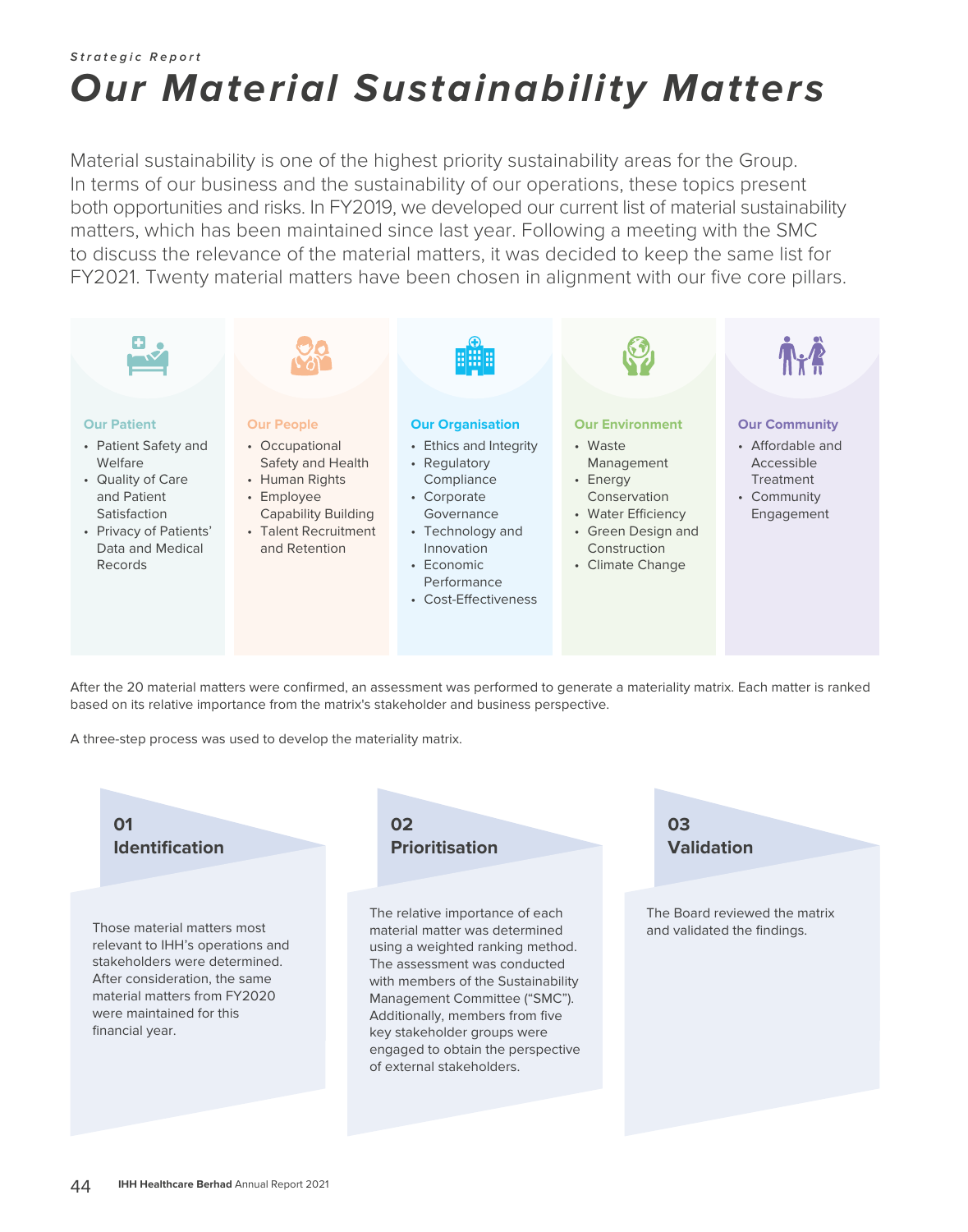## **Strategic Report Our Material Sustainability Matters**

Material sustainability is one of the highest priority sustainability areas for the Group. In terms of our business and the sustainability of our operations, these topics present both opportunities and risks. In FY2019, we developed our current list of material sustainability matters, which has been maintained since last year. Following a meeting with the SMC to discuss the relevance of the material matters, it was decided to keep the same list for FY2021. Twenty material matters have been chosen in alignment with our five core pillars.



After the 20 material matters were confirmed, an assessment was performed to generate a materiality matrix. Each matter is ranked based on its relative importance from the matrix's stakeholder and business perspective.

A three-step process was used to develop the materiality matrix.

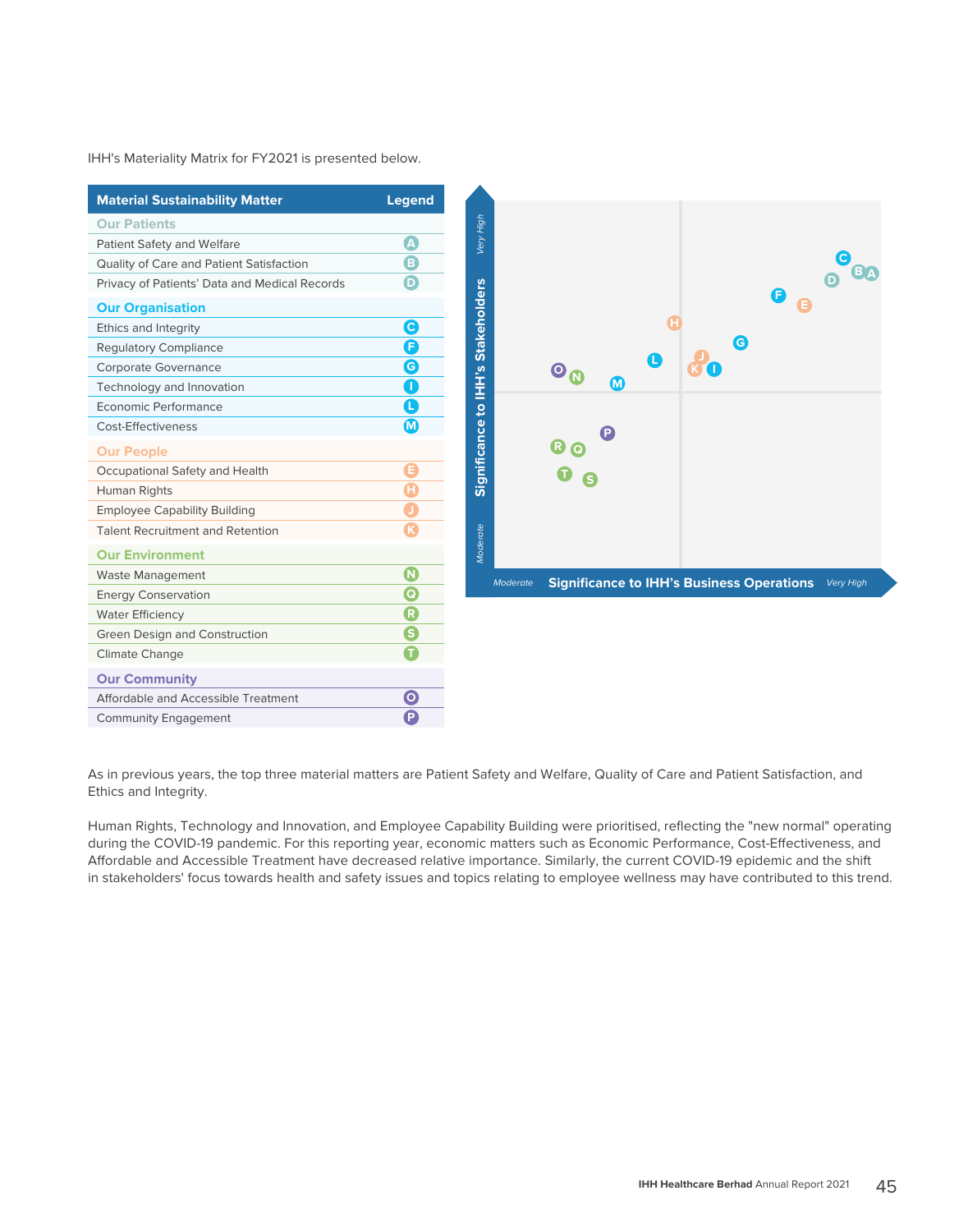IHH's Materiality Matrix for FY2021 is presented below.

| <b>Material Sustainability Matter</b>         | <b>Legend</b>                     |
|-----------------------------------------------|-----------------------------------|
| <b>Our Patients</b>                           |                                   |
| Patient Safety and Welfare                    | $\boldsymbol{\Omega}$             |
| Quality of Care and Patient Satisfaction      | $\overline{\bm{\bm{\mathsf{e}}}}$ |
| Privacy of Patients' Data and Medical Records | Ô                                 |
| <b>Our Organisation</b>                       |                                   |
| Ethics and Integrity                          | $\mathbf \Theta$                  |
| <b>Regulatory Compliance</b>                  | Ô                                 |
| Corporate Governance                          | G                                 |
| Technology and Innovation                     | T                                 |
| Economic Performance                          | O                                 |
| Cost-Effectiveness                            | $\bf \Phi$                        |
| <b>Our People</b>                             |                                   |
| Occupational Safety and Health                |                                   |
| Human Rights                                  |                                   |
| <b>Employee Capability Building</b>           |                                   |
| <b>Talent Recruitment and Retention</b>       |                                   |
| <b>Our Environment</b>                        |                                   |
| <b>Waste Management</b>                       | $\mathbf U$                       |
| <b>Energy Conservation</b>                    | $\overline{\mathbf{e}}$           |
| <b>Water Efficiency</b>                       | $\overline{\mathbf{G}}$           |
| Green Design and Construction                 | S                                 |
| Climate Change                                |                                   |
| <b>Our Community</b>                          |                                   |
| Affordable and Accessible Treatment           | $\mathbf 0$                       |
| <b>Community Engagement</b>                   | Ē                                 |

As in previous years, the top three material matters are Patient Safety and Welfare, Quality of Care and Patient Satisfaction, and Ethics and Integrity.

Human Rights, Technology and Innovation, and Employee Capability Building were prioritised, reflecting the "new normal" operating during the COVID-19 pandemic. For this reporting year, economic matters such as Economic Performance, Cost-Effectiveness, and Affordable and Accessible Treatment have decreased relative importance. Similarly, the current COVID-19 epidemic and the shift in stakeholders' focus towards health and safety issues and topics relating to employee wellness may have contributed to this trend.